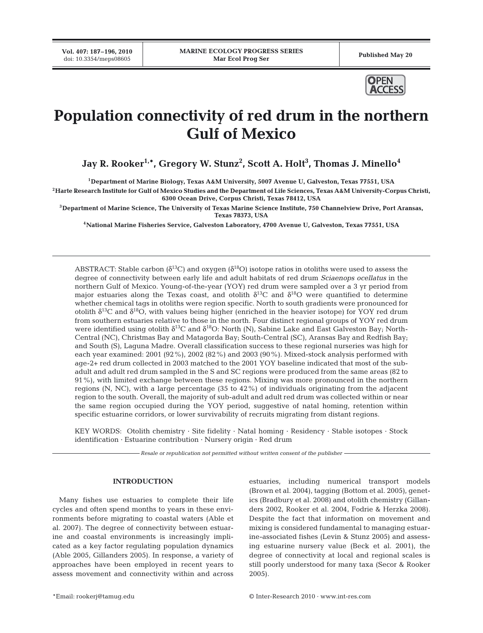**Vol. 407: 187–196, 2010**



# **Population connectivity of red drum in the northern Gulf of Mexico**

Jay R. Rooker<sup>1,</sup>\*, Gregory W. Stunz<sup>2</sup>, Scott A. Holt<sup>3</sup>, Thomas J. Minello<sup>4</sup>

**1Department of Marine Biology, Texas A&M University, 5007 Avenue U, Galveston, Texas 77551, USA**

**2Harte Research Institute for Gulf of Mexico Studies and the Department of Life Sciences, Texas A&M University-Corpus Christi, 6300 Ocean Drive, Corpus Christi, Texas 78412, USA**

**3Department of Marine Science, The University of Texas Marine Science Institute, 750 Channelview Drive, Port Aransas, Texas 78373, USA**

**4National Marine Fisheries Service, Galveston Laboratory, 4700 Avenue U, Galveston, Texas 77551, USA**

ABSTRACT: Stable carbon ( $\delta^{13}C$ ) and oxygen ( $\delta^{18}O$ ) isotope ratios in otoliths were used to assess the degree of connectivity between early life and adult habitats of red drum *Sciaenops ocellatus* in the northern Gulf of Mexico. Young-of-the-year (YOY) red drum were sampled over a 3 yr period from major estuaries along the Texas coast, and otolith  $\delta^{13}$ C and  $\delta^{18}$ O were quantified to determine whether chemical tags in otoliths were region specific. North to south gradients were pronounced for otolith  $\delta^{13}$ C and  $\delta^{18}$ O, with values being higher (enriched in the heavier isotope) for YOY red drum from southern estuaries relative to those in the north. Four distinct regional groups of YOY red drum were identified using otolith  $\delta^{13}C$  and  $\delta^{18}O$ : North (N), Sabine Lake and East Galveston Bay; North-Central (NC), Christmas Bay and Matagorda Bay; South-Central (SC), Aransas Bay and Redfish Bay; and South (S), Laguna Madre. Overall classification success to these regional nurseries was high for each year examined: 2001 (92%), 2002 (82%) and 2003 (90%). Mixed-stock analysis performed with age-2+ red drum collected in 2003 matched to the 2001 YOY baseline indicated that most of the subadult and adult red drum sampled in the S and SC regions were produced from the same areas (82 to 91%), with limited exchange between these regions. Mixing was more pronounced in the northern regions (N, NC), with a large percentage (35 to 42%) of individuals originating from the adjacent region to the south. Overall, the majority of sub-adult and adult red drum was collected within or near the same region occupied during the YOY period, suggestive of natal homing, retention within specific estuarine corridors, or lower survivability of recruits migrating from distant regions.

KEY WORDS: Otolith chemistry · Site fidelity · Natal homing · Residency · Stable isotopes · Stock identification · Estuarine contribution · Nursery origin · Red drum

*Resale or republication not permitted without written consent of the publisher*

## **INTRODUCTION**

Many fishes use estuaries to complete their life cycles and often spend months to years in these environments before migrating to coastal waters (Able et al. 2007). The degree of connectivity between estuarine and coastal environments is increasingly implicated as a key factor regulating population dynamics (Able 2005, Gillanders 2005). In response, a variety of approaches have been employed in recent years to assess movement and connectivity within and across

estuaries, including numerical transport models (Brown et al. 2004), tagging (Bottom et al. 2005), genetics (Bradbury et al. 2008) and otolith chemistry (Gillanders 2002, Rooker et al. 2004, Fodrie & Herzka 2008). Despite the fact that information on movement and mixing is considered fundamental to managing estuarine-associated fishes (Levin & Stunz 2005) and assessing estuarine nursery value (Beck et al. 2001), the degree of connectivity at local and regional scales is still poorly understood for many taxa (Secor & Rooker 2005).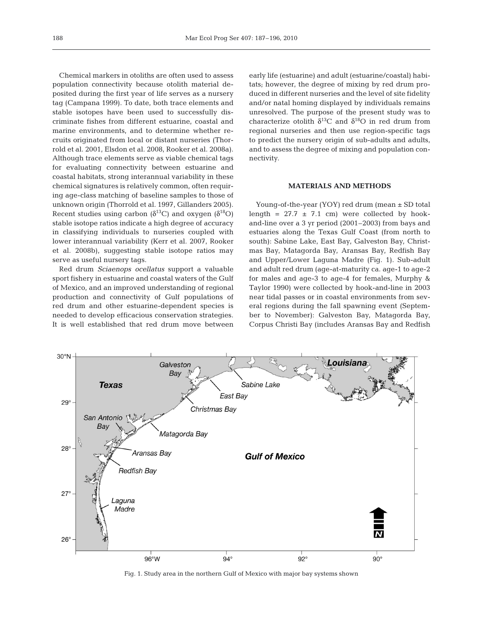Chemical markers in otoliths are often used to assess population connectivity because otolith material deposited during the first year of life serves as a nursery tag (Campana 1999). To date, both trace elements and stable isotopes have been used to successfully discriminate fishes from different estuarine, coastal and marine environments, and to determine whether recruits originated from local or distant nurseries (Thorrold et al. 2001, Elsdon et al. 2008, Rooker et al. 2008a). Although trace elements serve as viable chemical tags for evaluating connectivity between estuarine and coastal habitats, strong interannual variability in these chemical signatures is relatively common, often requiring age-class matching of baseline samples to those of unknown origin (Thorrold et al. 1997, Gillanders 2005). Recent studies using carbon ( $\delta^{13}$ C) and oxygen ( $\delta^{18}$ O) stable isotope ratios indicate a high degree of accuracy in classifying individuals to nurseries coupled with lower interannual variability (Kerr et al. 2007, Rooker et al. 2008b), suggesting stable isotope ratios may serve as useful nursery tags.

Red drum *Sciaenops ocellatus* support a valuable sport fishery in estuarine and coastal waters of the Gulf of Mexico, and an improved understanding of regional production and connectivity of Gulf populations of red drum and other estuarine-dependent species is needed to develop efficacious conservation strategies. It is well established that red drum move between early life (estuarine) and adult (estuarine/coastal) habitats; however, the degree of mixing by red drum produced in different nurseries and the level of site fidelity and/or natal homing displayed by individuals remains unresolved. The purpose of the present study was to characterize otolith  $\delta^{13}$ C and  $\delta^{18}$ O in red drum from regional nurseries and then use region-specific tags to predict the nursery origin of sub-adults and adults, and to assess the degree of mixing and population connectivity.

## **MATERIALS AND METHODS**

Young-of-the-year (YOY) red drum (mean ± SD total length =  $27.7 \pm 7.1$  cm) were collected by hookand-line over a 3 yr period (2001–2003) from bays and estuaries along the Texas Gulf Coast (from north to south): Sabine Lake, East Bay, Galveston Bay, Christmas Bay, Matagorda Bay, Aransas Bay, Redfish Bay and Upper/Lower Laguna Madre (Fig. 1). Sub-adult and adult red drum (age-at-maturity ca. age-1 to age-2 for males and age-3 to age-4 for females, Murphy & Taylor 1990) were collected by hook-and-line in 2003 near tidal passes or in coastal environments from several regions during the fall spawning event (September to November): Galveston Bay, Matagorda Bay, Corpus Christi Bay (includes Aransas Bay and Redfish



Fig. 1. Study area in the northern Gulf of Mexico with major bay systems shown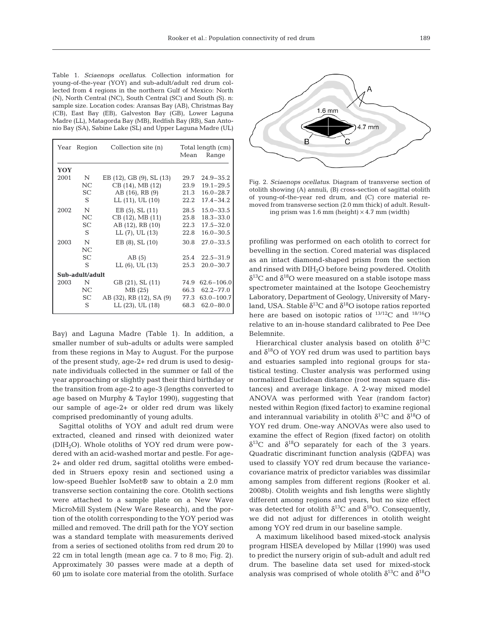Table 1. *Sciaenops ocellatus*. Collection information for young-of-the-year (YOY) and sub-adult/adult red drum collected from 4 regions in the northern Gulf of Mexico: North (N), North Central (NC), South Central (SC) and South (S). n: sample size. Location codes: Aransas Bay (AB), Christmas Bay (CB), East Bay (EB), Galveston Bay (GB), Lower Laguna Madre (LL), Matagorda Bay (MB), Redfish Bay (RB), San Antonio Bay (SA), Sabine Lake (SL) and Upper Laguna Madre (UL)

| Year            | Region    | Collection site (n)      | Mean | Total length (cm)<br>Range |  |  |  |
|-----------------|-----------|--------------------------|------|----------------------------|--|--|--|
| YOY             |           |                          |      |                            |  |  |  |
| 2001            | N         | EB (12), GB (9), SL (13) | 29.7 | $24.9 - 35.2$              |  |  |  |
|                 | NC        | CB (14), MB (12)         | 23.9 | $19.1 - 29.5$              |  |  |  |
|                 | SC        | AB (16), RB (9)          | 21.3 | $16.0 - 28.7$              |  |  |  |
|                 | S         | LL (11), UL (10)         | 22.2 | $17.4 - 34.2$              |  |  |  |
| 2002            | N         | $EB(5)$ , SL $(11)$      | 28.5 | $15.0 - 33.5$              |  |  |  |
|                 | NC        | CB (12), MB (11)         | 25.8 | $18.3 - 33.0$              |  |  |  |
|                 | SC.       | AB (12), RB (10)         | 22.3 | $17.5 - 32.0$              |  |  |  |
|                 | S         | LL (7), UL (13)          | 22.8 | $16.0 - 30.5$              |  |  |  |
| 2003            | N         | $EB(8)$ , SL $(10)$      | 30.8 | $27.0 - 33.5$              |  |  |  |
|                 | NC        |                          |      |                            |  |  |  |
|                 | SC.       | AB(5)                    | 25.4 | $22.5 - 31.9$              |  |  |  |
|                 | S         | $LL(6)$ , UL $(13)$      | 25.3 | $20.0 - 30.7$              |  |  |  |
| Sub-adult/adult |           |                          |      |                            |  |  |  |
| 2003            | N         | GB (21), SL (11)         | 74.9 | $62.6 - 106.0$             |  |  |  |
|                 | NC.       | MB(25)                   | 66.3 | $62.2 - 77.0$              |  |  |  |
|                 | <b>SC</b> | AB (32), RB (12), SA (9) | 77.3 | $63.0 - 100.7$             |  |  |  |
|                 | S         | LL (23), UL (18)         | 68.3 | $62.0 - 80.0$              |  |  |  |

Bay) and Laguna Madre (Table 1). In addition, a smaller number of sub-adults or adults were sampled from these regions in May to August. For the purpose of the present study, age-2+ red drum is used to designate individuals collected in the summer or fall of the year approaching or slightly past their third birthday or the transition from age-2 to age-3 (lengths converted to age based on Murphy & Taylor 1990), suggesting that our sample of age-2+ or older red drum was likely comprised predominantly of young adults.

Sagittal otoliths of YOY and adult red drum were extracted, cleaned and rinsed with deionized water (DIH2O). Whole otoliths of YOY red drum were powdered with an acid-washed mortar and pestle. For age-2+ and older red drum, sagittal otoliths were embedded in Struers epoxy resin and sectioned using a low-speed Buehler IsoMet® saw to obtain a 2.0 mm transverse section containing the core. Otolith sections were attached to a sample plate on a New Wave MicroMill System (New Ware Research), and the portion of the otolith corresponding to the YOY period was milled and removed. The drill path for the YOY section was a standard template with measurements derived from a series of sectioned otoliths from red drum 20 to 22 cm in total length (mean age ca. 7 to 8 mo; Fig. 2). Approximately 30 passes were made at a depth of 60 µm to isolate core material from the otolith. Surface



Fig. 2. *Sciaenops ocellatus*. Diagram of transverse section of otolith showing (A) annuli, (B) cross-section of sagittal otolith of young-of-the-year red drum, and (C) core material removed from transverse section (2.0 mm thick) of adult. Resulting prism was  $1.6$  mm (height)  $\times$  4.7 mm (width)

profiling was performed on each otolith to correct for bevelling in the section. Cored material was displaced as an intact diamond-shaped prism from the section and rinsed with DIH2O before being powdered. Otolith  $\delta^{13}$ C and  $\delta^{18}$ O were measured on a stable isotope mass spectrometer maintained at the Isotope Geochemistry Laboratory, Department of Geology, University of Maryland, USA. Stable  $\delta^{13}C$  and  $\delta^{18}O$  isotope ratios reported here are based on isotopic ratios of  $^{13/12}$ C and  $^{18/16}$ O relative to an in-house standard calibrated to Pee Dee Belemnite.

Hierarchical cluster analysis based on otolith  $\delta^{13}C$ and  $\delta^{18}$ O of YOY red drum was used to partition bays and estuaries sampled into regional groups for statistical testing. Cluster analysis was performed using normalized Euclidean distance (root mean square distances) and average linkage. A 2-way mixed model ANOVA was performed with Year (random factor) nested within Region (fixed factor) to examine regional and interannual variability in otolith  $\delta^{13}C$  and  $\delta^{18}O$  of YOY red drum. One-way ANOVAs were also used to examine the effect of Region (fixed factor) on otolith  $\delta^{13}$ C and  $\delta^{18}$ O separately for each of the 3 years. Quadratic discriminant function analysis (QDFA) was used to classify YOY red drum because the variancecovariance matrix of predictor variables was dissimilar among samples from different regions (Rooker et al. 2008b). Otolith weights and fish lengths were slightly different among regions and years, but no size effect was detected for otolith  $\delta^{13}$ C and  $\delta^{18}$ O. Consequently, we did not adjust for differences in otolith weight among YOY red drum in our baseline sample.

A maximum likelihood based mixed-stock analysis program HISEA developed by Millar (1990) was used to predict the nursery origin of sub-adult and adult red drum. The baseline data set used for mixed-stock analysis was comprised of whole otolith  $\delta^{13}$ C and  $\delta^{18}$ O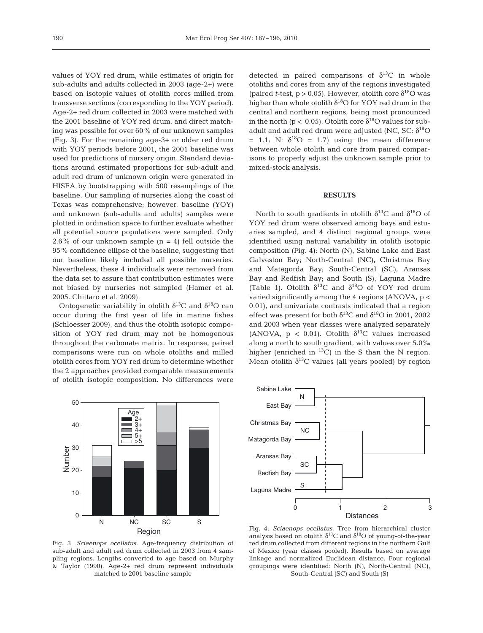values of YOY red drum, while estimates of origin for sub-adults and adults collected in 2003 (age-2+) were based on isotopic values of otolith cores milled from transverse sections (corresponding to the YOY period). Age-2+ red drum collected in 2003 were matched with the 2001 baseline of YOY red drum, and direct matching was possible for over 60% of our unknown samples (Fig. 3). For the remaining age-3+ or older red drum with YOY periods before 2001, the 2001 baseline was used for predictions of nursery origin. Standard deviations around estimated proportions for sub-adult and adult red drum of unknown origin were generated in HISEA by bootstrapping with 500 resamplings of the baseline. Our sampling of nurseries along the coast of Texas was comprehensive; however, baseline (YOY) and unknown (sub-adults and adults) samples were plotted in ordination space to further evaluate whether all potential source populations were sampled. Only 2.6% of our unknown sample  $(n = 4)$  fell outside the 95% confidence ellipse of the baseline, suggesting that our baseline likely included all possible nurseries. Nevertheless, these 4 individuals were removed from the data set to assure that contribution estimates were not biased by nurseries not sampled (Hamer et al. 2005, Chittaro et al. 2009).

Ontogenetic variability in otolith  $\delta^{13}$ C and  $\delta^{18}$ O can occur during the first year of life in marine fishes (Schloesser 2009), and thus the otolith isotopic composition of YOY red drum may not be homogenous throughout the carbonate matrix. In response, paired comparisons were run on whole otoliths and milled otolith cores from YOY red drum to determine whether the 2 approaches provided comparable measurements of otolith isotopic composition. No differences were



Fig. 3. *Sciaenops ocellatus*. Age-frequency distribution of sub-adult and adult red drum collected in 2003 from 4 sampling regions. Lengths converted to age based on Murphy & Taylor (1990). Age-2+ red drum represent individuals matched to 2001 baseline sample

detected in paired comparisons of  $\delta^{13}C$  in whole otoliths and cores from any of the regions investigated (paired *t*-test,  $p > 0.05$ ). However, otolith core  $\delta^{18}$ O was higher than whole otolith  $\delta^{18}$ O for YOY red drum in the central and northern regions, being most pronounced in the north ( $p < 0.05$ ). Otolith core  $\delta^{18}$ O values for subadult and adult red drum were adjusted (NC, SC:  $\delta^{18}O$ = 1.1; N:  $\delta^{18}O = 1.7$ ) using the mean difference between whole otolith and core from paired comparisons to properly adjust the unknown sample prior to mixed-stock analysis.

### **RESULTS**

North to south gradients in otolith  $\delta^{13}$ C and  $\delta^{18}$ O of YOY red drum were observed among bays and estuaries sampled, and 4 distinct regional groups were identified using natural variability in otolith isotopic composition (Fig. 4): North (N), Sabine Lake and East Galveston Bay; North-Central (NC), Christmas Bay and Matagorda Bay; South-Central (SC), Aransas Bay and Redfish Bay; and South (S), Laguna Madre (Table 1). Otolith  $\delta^{13}$ C and  $\delta^{18}$ O of YOY red drum varied significantly among the 4 regions (ANOVA, p < 0.01), and univariate contrasts indicated that a region effect was present for both  $\delta^{13}$ C and  $\delta^{18}$ O in 2001, 2002 and 2003 when year classes were analyzed separately (ANOVA,  $p < 0.01$ ). Otolith  $\delta^{13}C$  values increased along a north to south gradient, with values over 5.0‰ higher (enriched in  ${}^{13}C$ ) in the S than the N region. Mean otolith  $\delta^{13}$ C values (all years pooled) by region



Fig. 4. *Sciaenops ocellatus*. Tree from hierarchical cluster analysis based on otolith  $\delta^{13}$ C and  $\delta^{18}$ O of young-of-the-year red drum collected from different regions in the northern Gulf of Mexico (year classes pooled). Results based on average linkage and normalized Euclidean distance. Four regional groupings were identified: North (N), North-Central (NC), South-Central (SC) and South (S)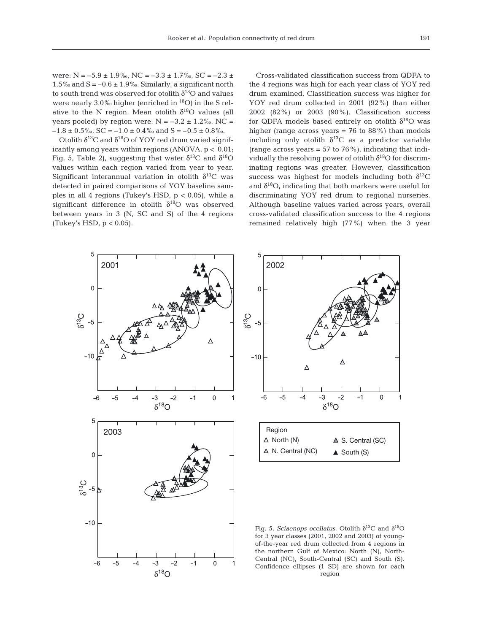were:  $N = -5.9 \pm 1.9\%$ ,  $NC = -3.3 \pm 1.7\%$ ,  $SC = -2.3 \pm 1.7\%$ 1.5‰ and  $S = -0.6 \pm 1.9$ ‰. Similarly, a significant north to south trend was observed for otolith  $\delta^{18}$ O and values were nearly  $3.0\%$  higher (enriched in  $^{18}O$ ) in the S relative to the N region. Mean otolith  $\delta^{18}O$  values (all years pooled) by region were:  $N = -3.2 \pm 1.2\%$ , NC =  $-1.8 \pm 0.5\%$ , SC =  $-1.0 \pm 0.4\%$  and S =  $-0.5 \pm 0.8\%$ .

Otolith  $\delta^{13}C$  and  $\delta^{18}O$  of YOY red drum varied significantly among years within regions  $(ANOVA, p < 0.01)$ ; Fig. 5, Table 2), suggesting that water  $\delta^{13}$ C and  $\delta^{18}$ O values within each region varied from year to year. Significant interannual variation in otolith  $\delta^{13}C$  was detected in paired comparisons of YOY baseline samples in all 4 regions (Tukey's HSD,  $p < 0.05$ ), while a significant difference in otolith  $\delta^{18}O$  was observed between years in 3 (N, SC and S) of the 4 regions (Tukey's HSD,  $p < 0.05$ ).

Cross-validated classification success from QDFA to the 4 regions was high for each year class of YOY red drum examined. Classification success was higher for YOY red drum collected in 2001 (92%) than either 2002 (82%) or 2003 (90%). Classification success for QDFA models based entirely on otolith  $\delta^{18}O$  was higher (range across years  $= 76$  to 88%) than models including only otolith  $\delta^{13}$ C as a predictor variable (range across years  $= 57$  to 76%), indicating that individually the resolving power of otolith  $\delta^{18}$ O for discriminating regions was greater. However, classification success was highest for models including both  $\delta^{13}C$ and  $\delta^{18}$ O, indicating that both markers were useful for discriminating YOY red drum to regional nurseries. Although baseline values varied across years, overall cross-validated classification success to the 4 regions remained relatively high (77%) when the 3 year





Fig. 5. *Sciaenops ocellatus*. Otolith  $\delta^{13}$ C and  $\delta^{18}$ O for 3 year classes (2001, 2002 and 2003) of youngof-the-year red drum collected from 4 regions in the northern Gulf of Mexico: North (N), North-Central (NC), South-Central (SC) and South (S). Confidence ellipses (1 SD) are shown for each region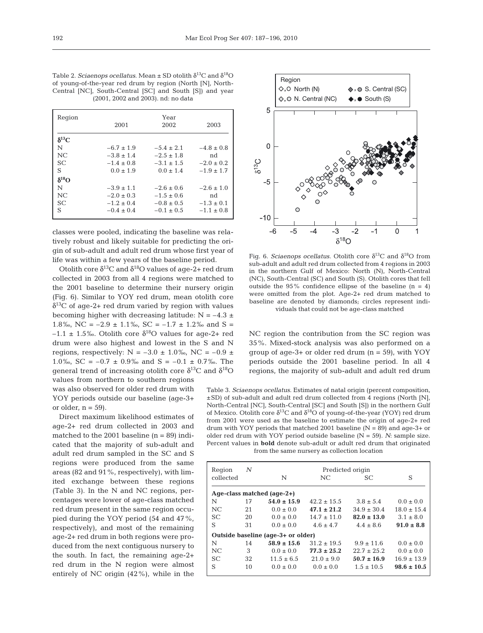| Table 2. Sciaenops ocellatus. Mean $\pm$ SD otolith $\delta^{13}$ C and $\delta^{18}$ O |  |  |  |  |  |  |
|-----------------------------------------------------------------------------------------|--|--|--|--|--|--|
| of young-of-the-year red drum by region (North [N], North-                              |  |  |  |  |  |  |
| Central [NC], South-Central [SC] and South [S]) and year                                |  |  |  |  |  |  |
| (2001, 2002 and 2003). nd: no data                                                      |  |  |  |  |  |  |

| Region         |                | Year           |                |
|----------------|----------------|----------------|----------------|
|                | 2001           | 2002           | 2003           |
| $\delta^{13}C$ |                |                |                |
| N              | $-6.7 \pm 1.9$ | $-5.4 \pm 2.1$ | $-4.8 \pm 0.8$ |
| NC             | $-3.8 + 1.4$   | $-2.5 \pm 1.8$ | nd             |
| <b>SC</b>      | $-1.4 + 0.8$   | $-3.1 \pm 1.5$ | $-2.0 \pm 0.2$ |
| S              | $0.0 + 1.9$    | $0.0 \pm 1.4$  | $-1.9 \pm 1.7$ |
| $\delta^{18}O$ |                |                |                |
| N              | $-3.9 \pm 1.1$ | $-2.6 \pm 0.6$ | $-2.6 \pm 1.0$ |
| NC             | $-2.0 \pm 0.3$ | $-1.5 \pm 0.6$ | nd             |
| <b>SC</b>      | $-1.2 \pm 0.4$ | $-0.8 \pm 0.5$ | $-1.3 \pm 0.1$ |
| S              | $-0.4 \pm 0.4$ | $-0.1 \pm 0.5$ | $-1.1 \pm 0.8$ |

classes were pooled, indicating the baseline was relatively robust and likely suitable for predicting the origin of sub-adult and adult red drum whose first year of life was within a few years of the baseline period.

Otolith core  $\delta^{13}$ C and  $\delta^{18}$ O values of age-2+ red drum collected in 2003 from all 4 regions were matched to the 2001 baseline to determine their nursery origin (Fig. 6). Similar to YOY red drum, mean otolith core  $\delta^{13}$ C of age-2+ red drum varied by region with values becoming higher with decreasing latitude:  $N = -4.3 \pm$ 1.8‰, NC =  $-2.9 \pm 1.1$ ‰, SC =  $-1.7 \pm 1.2$ ‰ and S =  $-1.1 \pm 1.5$ ‰. Otolith core  $\delta^{18}$ O values for age-2+ red drum were also highest and lowest in the S and N regions, respectively:  $N = -3.0 \pm 1.0\%$ , NC = -0.9  $\pm$ 1.0‰, SC =  $-0.7 \pm 0.9$ ‰ and S =  $-0.1 \pm 0.7$ ‰. The general trend of increasing otolith core  $δ<sup>13</sup>C$  and  $δ<sup>18</sup>O$ 

values from northern to southern regions was also observed for older red drum with YOY periods outside our baseline (age-3+ or older,  $n = 59$ ).

Direct maximum likelihood estimates of age-2+ red drum collected in 2003 and matched to the 2001 baseline  $(n = 89)$  indicated that the majority of sub-adult and adult red drum sampled in the SC and S regions were produced from the same areas (82 and 91%, respectively), with limited exchange between these regions (Table 3). In the N and NC regions, percentages were lower of age-class matched red drum present in the same region occupied during the YOY period (54 and 47%, respectively), and most of the remaining age-2+ red drum in both regions were produced from the next contiguous nursery to the south. In fact, the remaining age-2+ red drum in the N region were almost entirely of NC origin (42%), while in the



Fig. 6. *Sciaenops ocellatus*. Otolith core  $\delta^{13}$ C and  $\delta^{18}$ O from sub-adult and adult red drum collected from 4 regions in 2003 in the northern Gulf of Mexico: North (N), North-Central (NC), South-Central (SC) and South (S). Otolith cores that fell outside the 95% confidence ellipse of the baseline  $(n = 4)$ were omitted from the plot. Age-2+ red drum matched to baseline are denoted by diamonds; circles represent individuals that could not be age-class matched

NC region the contribution from the SC region was 35%. Mixed-stock analysis was also performed on a group of age-3+ or older red drum  $(n = 59)$ , with YOY periods outside the 2001 baseline period. In all 4 regions, the majority of sub-adult and adult red drum

Table 3. *Sciaenops ocellatus*. Estimates of natal origin (percent composition, ±SD) of sub-adult and adult red drum collected from 4 regions (North [N], North-Central [NC], South-Central [SC] and South [S]) in the northern Gulf of Mexico. Otolith core  $\delta^{13}$ C and  $\delta^{18}$ O of young-of-the-year (YOY) red drum from 2001 were used as the baseline to estimate the origin of age-2+ red drum with YOY periods that matched 2001 baseline  $(N = 89)$  and age-3+ or older red drum with YOY period outside baseline (N = 59). *N*: sample size. Percent values in **bold** denote sub-adult or adult red drum that originated from the same nursery as collection location

| Region                             | N  |                 | Predicted origin |                 |                 |  |  |  |
|------------------------------------|----|-----------------|------------------|-----------------|-----------------|--|--|--|
| collected                          |    | N               | NC.              | SC.             | S               |  |  |  |
| Age-class matched (age-2+)         |    |                 |                  |                 |                 |  |  |  |
| N                                  | 17 | $54.0 \pm 15.9$ | $42.2 \pm 15.5$  | $3.8 \pm 5.4$   | $0.0 \pm 0.0$   |  |  |  |
| NC.                                | 21 | $0.0 \pm 0.0$   | $47.1 \pm 21.2$  | $34.9 \pm 30.4$ | $18.0 \pm 15.4$ |  |  |  |
| SC.                                | 20 | $0.0 \pm 0.0$   | $14.7 \pm 11.0$  | $82.0 \pm 13.0$ | $3.1 \pm 8.0$   |  |  |  |
| S                                  | 31 | $0.0 \pm 0.0$   | $4.6 + 4.7$      | $4.4 \pm 8.6$   | $91.0 \pm 8.8$  |  |  |  |
| Outside baseline (age-3+ or older) |    |                 |                  |                 |                 |  |  |  |
| N                                  | 14 | $58.9 \pm 15.6$ | $31.2 \pm 19.5$  | $9.9 \pm 11.6$  | $0.0 \pm 0.0$   |  |  |  |
| NC.                                | 3  | $0.0 \pm 0.0$   | $77.3 \pm 25.2$  | $22.7 \pm 25.2$ | $0.0 \pm 0.0$   |  |  |  |
| <b>SC</b>                          | 32 | $11.5 \pm 6.5$  | $21.0 \pm 9.0$   | $50.7 \pm 16.9$ | $16.9 \pm 13.9$ |  |  |  |
| S                                  | 10 | $0.0 \pm 0.0$   | $0.0 \pm 0.0$    | $1.5 \pm 10.5$  | $98.6 \pm 10.5$ |  |  |  |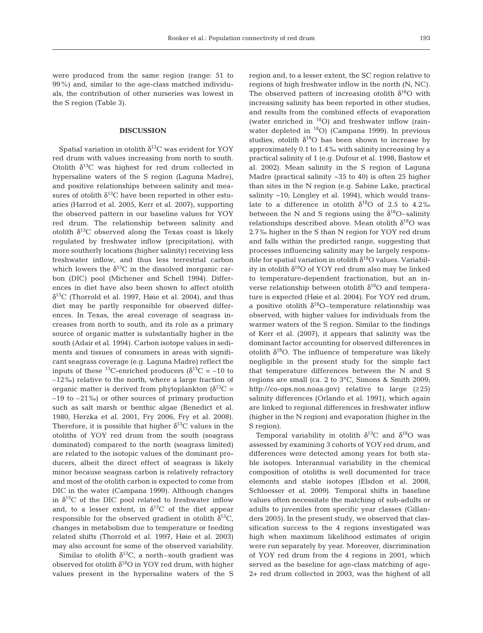were produced from the same region (range: 51 to 99%) and, similar to the age-class matched individuals, the contribution of other nurseries was lowest in the S region (Table 3).

### **DISCUSSION**

Spatial variation in otolith  $\delta^{13}$ C was evident for YOY red drum with values increasing from north to south. Otolith  $\delta^{13}$ C was highest for red drum collected in hypersaline waters of the S region (Laguna Madre), and positive relationships between salinity and measures of otolith  $\delta^{13}$ C have been reported in other estuaries (Harrod et al. 2005, Kerr et al. 2007), supporting the observed pattern in our baseline values for YOY red drum. The relationship between salinity and otolith  $\delta^{13}$ C observed along the Texas coast is likely regulated by freshwater inflow (precipitation), with more southerly locations (higher salinity) receiving less freshwater inflow, and thus less terrestrial carbon which lowers the  $\delta^{13}$ C in the dissolved inorganic carbon (DIC) pool (Michener and Schell 1994). Differences in diet have also been shown to affect otolith  $\delta^{13}$ C (Thorrold et al. 1997, Høie et al. 2004), and thus diet may be partly responsible for observed differences. In Texas, the areal coverage of seagrass increases from north to south, and its role as a primary source of organic matter is substantially higher in the south (Adair et al. 1994). Carbon isotope values in sediments and tissues of consumers in areas with significant seagrass coverage (e.g. Laguna Madre) reflect the inputs of these <sup>13</sup>C-enriched producers ( $\delta^{13}$ C = -10 to –12‰) relative to the north, where a large fraction of organic matter is derived from phytoplankton  $\delta^{13}C =$ –19 to –21‰) or other sources of primary production such as salt marsh or benthic algae (Benedict et al. 1980, Herzka et al. 2001, Fry 2006, Fry et al. 2008). Therefore, it is possible that higher  $\delta^{13}$ C values in the otoliths of YOY red drum from the south (seagrass dominated) compared to the north (seagrass limited) are related to the isotopic values of the dominant producers, albeit the direct effect of seagrass is likely minor because seagrass carbon is relatively refractory and most of the otolith carbon is expected to come from DIC in the water (Campana 1999). Although changes in  $\delta^{13}$ C of the DIC pool related to freshwater inflow and, to a lesser extent, in  $\delta^{13}$ C of the diet appear responsible for the observed gradient in otolith  $\delta^{13}C$ , changes in metabolism due to temperature or feeding related shifts (Thorrold et al. 1997, Høie et al. 2003) may also account for some of the observed variability.

Similar to otolith  $\delta^{13}C$ , a north–south gradient was observed for otolith  $\delta^{18}$ O in YOY red drum, with higher values present in the hypersaline waters of the S region and, to a lesser extent, the SC region relative to regions of high freshwater inflow in the north (N, NC). The observed pattern of increasing otolith  $\delta^{18}O$  with increasing salinity has been reported in other studies, and results from the combined effects of evaporation (water enriched in 18O) and freshwater inflow (rainwater depleted in 18O) (Campana 1999). In previous studies, otolith  $\delta^{18}O$  has been shown to increase by approximately 0.1 to 1.4‰ with salinity increasing by a practical salinity of 1 (e.g. Dufour et al. 1998, Bastow et al. 2002). Mean salinity in the S region of Laguna Madre (practical salinity ~35 to 40) is often 25 higher than sites in the N region (e.g. Sabine Lake, practical salinity ~10; Longley et al. 1994), which would translate to a difference in otolith  $\delta^{18}$ O of 2.5 to 4.2‰ between the N and S regions using the  $\delta^{18}$ O–salinity relationships described above. Mean otolith  $\delta^{18}O$  was 2.7‰ higher in the S than N region for YOY red drum and falls within the predicted range, suggesting that processes influencing salinity may be largely responsible for spatial variation in otolith  $\delta^{18}$ O values. Variability in otolith  $\delta^{18}O$  of YOY red drum also may be linked to temperature-dependent fractionation, but an inverse relationship between otolith  $\delta^{18}$ O and temperature is expected (Høie et al. 2004). For YOY red drum, a positive otolith  $\delta^{18}$ O-temperature relationship was observed, with higher values for individuals from the warmer waters of the S region. Similar to the findings of Kerr et al. (2007), it appears that salinity was the dominant factor accounting for observed differences in otolith  $\delta^{18}O$ . The influence of temperature was likely negligible in the present study for the simple fact that temperature differences between the N and S regions are small (ca. 2 to 3°C, Simons & Smith 2009; http://co-ops.nos.noaa.gov) relative to large (≥25) salinity differences (Orlando et al. 1991), which again are linked to regional differences in freshwater inflow (higher in the N region) and evaporation (higher in the S region).

Temporal variability in otolith  $\delta^{13}C$  and  $\delta^{18}O$  was assessed by examining 3 cohorts of YOY red drum, and differences were detected among years for both stable isotopes. Interannual variability in the chemical composition of otoliths is well documented for trace elements and stable isotopes (Elsdon et al. 2008, Schloesser et al. 2009). Temporal shifts in baseline values often necessitate the matching of sub-adults or adults to juveniles from specific year classes (Gillanders 2005). In the present study, we observed that classification success to the 4 regions investigated was high when maximum likelihood estimates of origin were run separately by year. Moreover, discrimination of YOY red drum from the 4 regions in 2001, which served as the baseline for age-class matching of age-2+ red drum collected in 2003, was the highest of all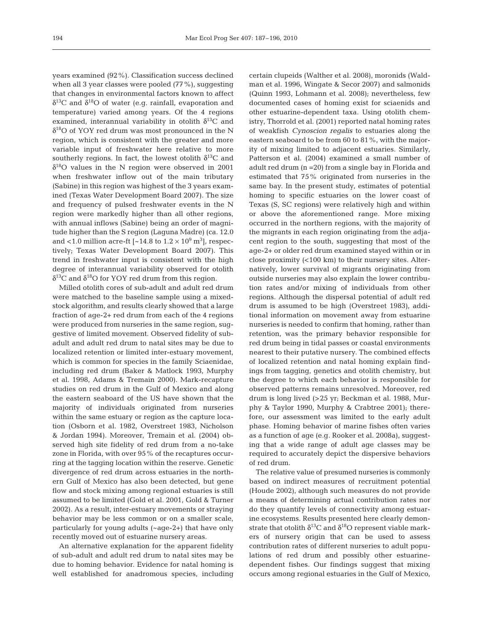years examined (92%). Classification success declined when all 3 year classes were pooled (77%), suggesting that changes in environmental factors known to affect  $δ<sup>13</sup>C$  and  $δ<sup>18</sup>O$  of water (e.g. rainfall, evaporation and temperature) varied among years. Of the 4 regions examined, interannual variability in otolith  $\delta^{13}$ C and  $\delta^{18}$ O of YOY red drum was most pronounced in the N region, which is consistent with the greater and more variable input of freshwater here relative to more southerly regions. In fact, the lowest otolith  $\delta^{13}C$  and  $\delta^{18}$ O values in the N region were observed in 2001 when freshwater inflow out of the main tributary (Sabine) in this region was highest of the 3 years examined (Texas Water Development Board 2007). The size and frequency of pulsed freshwater events in the N region were markedly higher than all other regions, with annual inflows (Sabine) being an order of magnitude higher than the S region (Laguna Madre) (ca. 12.0 and <1.0 million acre-ft [~14.8 to  $1.2 \times 10^9$  m<sup>3</sup>], respectively; Texas Water Development Board 2007). This trend in freshwater input is consistent with the high degree of interannual variability observed for otolith  $δ<sup>13</sup>C$  and  $δ<sup>18</sup>O$  for YOY red drum from this region.

Milled otolith cores of sub-adult and adult red drum were matched to the baseline sample using a mixedstock algorithm, and results clearly showed that a large fraction of age-2+ red drum from each of the 4 regions were produced from nurseries in the same region, suggestive of limited movement. Observed fidelity of subadult and adult red drum to natal sites may be due to localized retention or limited inter-estuary movement, which is common for species in the family Sciaenidae, including red drum (Baker & Matlock 1993, Murphy et al. 1998, Adams & Tremain 2000). Mark-recapture studies on red drum in the Gulf of Mexico and along the eastern seaboard of the US have shown that the majority of individuals originated from nurseries within the same estuary or region as the capture location (Osborn et al. 1982, Overstreet 1983, Nicholson & Jordan 1994). Moreover, Tremain et al. (2004) observed high site fidelity of red drum from a no-take zone in Florida, with over 95% of the recaptures occurring at the tagging location within the reserve. Genetic divergence of red drum across estuaries in the northern Gulf of Mexico has also been detected, but gene flow and stock mixing among regional estuaries is still assumed to be limited (Gold et al. 2001, Gold & Turner 2002). As a result, inter-estuary movements or straying behavior may be less common or on a smaller scale, particularly for young adults (~age-2+) that have only recently moved out of estuarine nursery areas.

An alternative explanation for the apparent fidelity of sub-adult and adult red drum to natal sites may be due to homing behavior. Evidence for natal homing is well established for anadromous species, including certain clupeids (Walther et al. 2008), moronids (Waldman et al. 1996, Wingate & Secor 2007) and salmonids (Quinn 1993, Lohmann et al. 2008); nevertheless, few documented cases of homing exist for sciaenids and other estuarine-dependent taxa. Using otolith chemistry, Thorrold et al. (2001) reported natal homing rates of weakfish *Cynoscion regalis* to estuaries along the eastern seaboard to be from 60 to 81%, with the majority of mixing limited to adjacent estuaries. Similarly, Patterson et al. (2004) examined a small number of adult red drum (n =20) from a single bay in Florida and estimated that 75% originated from nurseries in the same bay. In the present study, estimates of potential homing to specific estuaries on the lower coast of Texas (S, SC regions) were relatively high and within or above the aforementioned range. More mixing occurred in the northern regions, with the majority of the migrants in each region originating from the adjacent region to the south, suggesting that most of the age-2+ or older red drum examined stayed within or in close proximity (<100 km) to their nursery sites. Alternatively, lower survival of migrants originating from outside nurseries may also explain the lower contribution rates and/or mixing of individuals from other regions. Although the dispersal potential of adult red drum is assumed to be high (Overstreet 1983), additional information on movement away from estuarine nurseries is needed to confirm that homing, rather than retention, was the primary behavior responsible for red drum being in tidal passes or coastal environments nearest to their putative nursery. The combined effects of localized retention and natal homing explain findings from tagging, genetics and otolith chemistry, but the degree to which each behavior is responsible for observed patterns remains unresolved. Moreover, red drum is long lived (>25 yr; Beckman et al. 1988, Murphy & Taylor 1990, Murphy & Crabtree 2001); therefore, our assessment was limited to the early adult phase. Homing behavior of marine fishes often varies as a function of age (e.g. Rooker et al. 2008a), suggesting that a wide range of adult age classes may be required to accurately depict the dispersive behaviors of red drum.

The relative value of presumed nurseries is commonly based on indirect measures of recruitment potential (Houde 2002), although such measures do not provide a means of determining actual contribution rates nor do they quantify levels of connectivity among estuarine ecosystems. Results presented here clearly demonstrate that otolith  $\delta^{13}$ C and  $\delta^{18}$ O represent viable markers of nursery origin that can be used to assess contribution rates of different nurseries to adult populations of red drum and possibly other estuarinedependent fishes. Our findings suggest that mixing occurs among regional estuaries in the Gulf of Mexico,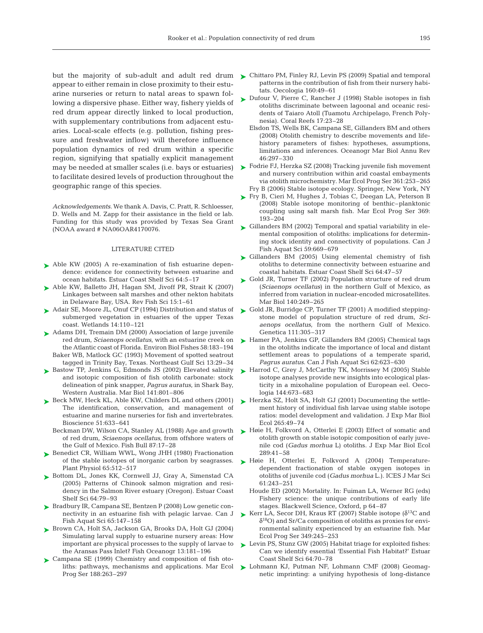appear to either remain in close proximity to their estuarine nurseries or return to natal areas to spawn following a dispersive phase. Either way, fishery yields of red drum appear directly linked to local production, with supplementary contributions from adjacent estuaries. Local-scale effects (e.g. pollution, fishing pressure and freshwater inflow) will therefore influence population dynamics of red drum within a specific region, signifying that spatially explicit management may be needed at smaller scales (i.e. bays or estuaries) to facilitate desired levels of production throughout the geographic range of this species.

*Acknowledgements.* We thank A. Davis, C. Pratt, R. Schloesser, D. Wells and M. Zapp for their assistance in the field or lab. Funding for this study was provided by Texas Sea Grant (NOAA award # NA06OAR4170076.

## LITERATURE CITED

- ► Able KW (2005) A re-examination of fish estuarine dependence: evidence for connectivity between estuarine and ocean habitats. Estuar Coast Shelf Sci 64:5–17
- ▶ Able KW, Balletto JH, Hagan SM, Jivoff PR, Strait K (2007) Linkages between salt marshes and other nekton habitats in Delaware Bay, USA. Rev Fish Sci 15:1–61
- ► Adair SE, Moore JL, Onuf CP (1994) Distribution and status of submerged vegetation in estuaries of the upper Texas coast. Wetlands 14:110–121
- ▶ Adams DH, Tremain DM (2000) Association of large juvenile red drum, *Sciaenops ocellatus*, with an estuarine creek on the Atlantic coast of Florida. Environ Biol Fishes 58:183–194 Baker WB, Matlock GC (1993) Movement of spotted seatrout
- tagged in Trinity Bay, Texas. Northeast Gulf Sci 13:29–34 ► Bastow TP, Jenkins G, Edmonds JS (2002) Elevated salinity and isotopic composition of fish otolith carbonate: stock
- delineation of pink snapper, *Pagrus auratus*, in Shark Bay, Western Australia. Mar Biol 141:801–806
- ► Beck MW, Heck KL, Able KW, Childers DL and others (2001) The identification, conservation, and management of estuarine and marine nurseries for fish and invertebrates. Bioscience 51:633–641
	- Beckman DW, Wilson CA, Stanley AL (1988) Age and growth of red drum, *Sciaenops ocellatus*, from offshore waters of the Gulf of Mexico. Fish Bull 87:17–28
- ▶ Benedict CR, William WWL, Wong JHH (1980) Fractionation of the stable isotopes of inorganic carbon by seagrasses. Plant Physiol 65:512–517
- ▶ Bottom DL, Jones KK, Cornwell JJ, Gray A, Simenstad CA (2005) Patterns of Chinook salmon migration and residency in the Salmon River estuary (Oregon). Estuar Coast Shelf Sci 64:79–93
- ► Bradbury IR, Campana SE, Bentzen P (2008) Low genetic connectivity in an estuarine fish with pelagic larvae. Can J Fish Aquat Sci 65:147–158
- ▶ Brown CA, Holt SA, Jackson GA, Brooks DA, Holt GJ (2004) Simulating larval supply to estuarine nursery areas: How important are physical processes to the supply of larvae to the Aransas Pass Inlet? Fish Oceanogr 13:181–196
- ► Campana SE (1999) Chemistry and composition of fish otoliths: pathways, mechanisms and applications. Mar Ecol Prog Ser 188:263–297
- but the majority of sub-adult and adult red drum  $\blacktriangleright$  Chittaro PM, Finley RJ, Levin PS (2009) Spatial and temporal patterns in the contribution of fish from their nursery habitats. Oecologia 160:49–61
	- ► Dufour V, Pierre C, Rancher J (1998) Stable isotopes in fish otoliths discriminate between lagoonal and oceanic residents of Taiaro Atoll (Tuamotu Archipelago, French Polynesia). Coral Reefs 17:23–28
		- Elsdon TS, Wells BK, Campana SE, Gillanders BM and others (2008) Otolith chemistry to describe movements and lifehistory parameters of fishes: hypotheses, assumptions, limitations and inferences. Oceanogr Mar Biol Annu Rev 46:297–330
	- ► Fodrie FJ, Herzka SZ (2008) Tracking juvenile fish movement and nursery contribution within arid coastal embayments via otolith microchemistry. Mar Ecol Prog Ser 361:253–265 Fry B (2006) Stable isotope ecology. Springer, New York, NY
	- ► Fry B, Cieri M, Hughes J, Tobias C, Deegan LA, Peterson B (2008) Stable isotope monitoring of benthic–planktonic coupling using salt marsh fish. Mar Ecol Prog Ser 369: 193–204
	- ► Gillanders BM (2002) Temporal and spatial variability in elemental composition of otoliths: implications for determining stock identity and connectivity of populations. Can J Fish Aquat Sci 59:669–679
	- ► Gillanders BM (2005) Using elemental chemistry of fish otoliths to determine connectivity between estuarine and coastal habitats. Estuar Coast Shelf Sci 64:47–57
	- ► Gold JR, Turner TF (2002) Population structure of red drum (*Sciaenops ocellatus*) in the northern Gulf of Mexico, as inferred from variation in nuclear-encoded microsatellites. Mar Biol 140:249–265
	- ► Gold JR, Burridge CP, Turner TF (2001) A modified steppingstone model of population structure of red drum, *Sciaenops ocellatus*, from the northern Gulf of Mexico. Genetica 111:305–317
	- ► Hamer PA, Jenkins GP, Gillanders BM (2005) Chemical tags in the otoliths indicate the importance of local and distant settlement areas to populations of a temperate sparid, *Pagrus auratus*. Can J Fish Aquat Sci 62:623–630
	- ► Harrod C, Grey J, McCarthy TK, Morrissey M (2005) Stable isotope analyses provide new insights into ecological plasticity in a mixohaline population of European eel. Oecologia 144:673–683
	- ▶ Herzka SZ, Holt SA, Holt GJ (2001) Documenting the settlement history of individual fish larvae using stable isotope ratios: model development and validation. J Exp Mar Biol Ecol 265:49–74
	- ► Høie H, Folkvord A, Otterlei E (2003) Effect of somatic and otolith growth on stable isotopic composition of early juvenile cod (*Gadus morhua* L) otoliths. J Exp Mar Biol Ecol 289:41–58
	- ▶ Høie H, Otterlei E, Folkvord A (2004) Temperaturedependent fractionation of stable oxygen isotopes in otoliths of juvenile cod (*Gadus morhua* L.). ICES J Mar Sci 61:243–251
		- Houde ED (2002) Mortality. In: Fuiman LA, Werner RG (eds) Fishery science: the unique contributions of early life stages. Blackwell Science, Oxford, p 64–87
	- Kerr LA, Secor DH, Kraus RT (2007) Stable isotope ( $\delta^{13}$ C and  $\delta^{18}$ O) and Sr/Ca composition of otoliths as proxies for environmental salinity experienced by an estuarine fish. Mar Ecol Prog Ser 349:245–253
	- ► Levin PS, Stunz GW (2005) Habitat triage for exploited fishes: Can we identify essential 'Essential Fish Habitat?' Estuar Coast Shelf Sci 64:70–78
	- ► Lohmann KJ, Putman NF, Lohmann CMF (2008) Geomagnetic imprinting: a unifying hypothesis of long-distance